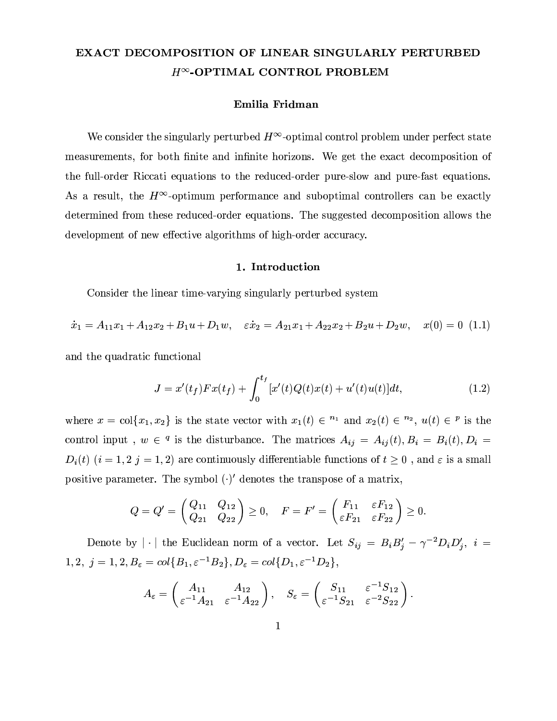# EXACT DECOMPOSITION OF LINEAR SINGULARLY PERTURBED  $H^{\infty}$ -OPTIMAL CONTROL PROBLEM

## Emilia Fridman

We consider the singularly perturbed  $H^{\infty}$ -optimal control problem under perfect state measurements, for both finite and infinite horizons. We get the exact decomposition of the full-order Riccati equations to the reduced-order pure-slow and pure-fast equations. As a result, the  $H^{\infty}$ -optimum performance and suboptimal controllers can be exactly determined from these reduced-order equations. The suggested decomposition allows the development of new effective algorithms of high-order accuracy.

#### 1. Introduction

Consider the linear time-varying singularly perturbed system

$$
\dot{x}_1 = A_{11}x_1 + A_{12}x_2 + B_1u + D_1w, \quad \varepsilon \dot{x}_2 = A_{21}x_1 + A_{22}x_2 + B_2u + D_2w, \quad x(0) = 0 \tag{1.1}
$$

and the quadratic functional

$$
J = x'(t_f) F x(t_f) + \int_0^{t_f} [x'(t)Q(t)x(t) + u'(t)u(t)]dt,
$$
\n(1.2)

where  $x = col\{x_1, x_2\}$  is the state vector with  $x_1(t) \in \mathbb{R}^n$  and  $x_2(t) \in \mathbb{R}^n$ ,  $u(t) \in \mathbb{R}^n$  is the control input,  $w \in \mathcal{I}$  is the disturbance. The matrices  $A_{ij} = A_{ij}(t)$ ,  $B_i = B_i(t)$ ,  $D_i =$  $D_i(t)$   $(i = 1, 2, j = 1, 2)$  are continuously differentiable functions of  $t \geq 0$ , and  $\varepsilon$  is a small positive parameter. The symbol  $(\cdot)'$  denotes the transpose of a matrix,

$$
Q = Q' = \begin{pmatrix} Q_{11} & Q_{12} \\ Q_{21} & Q_{22} \end{pmatrix} \ge 0, \quad F = F' = \begin{pmatrix} F_{11} & \varepsilon F_{12} \\ \varepsilon F_{21} & \varepsilon F_{22} \end{pmatrix} \ge 0
$$

Denote by  $|\cdot|$  the Euclidean norm of a vector. Let  $S_{ij} = B_i B'_j - \gamma^{-2} D_i D'_j$ ,  $i =$  $1,2,\ j=1,2,\\ B_{\varepsilon}=col\{B_1,\varepsilon^{-1}B_2\},\\ D_{\varepsilon}=col\{D_1,\varepsilon^{-1}D_2\},$ 

$$
A_{\varepsilon} = \begin{pmatrix} A_{11} & A_{12} \\ \varepsilon^{-1} A_{21} & \varepsilon^{-1} A_{22} \end{pmatrix}, \quad S_{\varepsilon} = \begin{pmatrix} S_{11} & \varepsilon^{-1} S_{12} \\ \varepsilon^{-1} S_{21} & \varepsilon^{-2} S_{22} \end{pmatrix}.
$$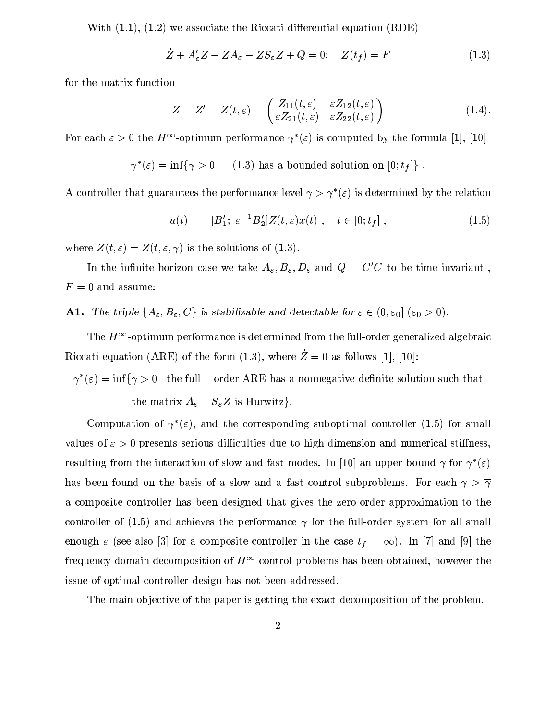With  $(1.1)$ ,  $(1.2)$  we associate the Riccati differential equation  $(RDE)$ 

$$
Z + A'_{\varepsilon} Z + Z A_{\varepsilon} - Z S_{\varepsilon} Z + Q = 0; \quad Z(t_f) = F \tag{1.3}
$$

for the matrix function

$$
Z = Z' = Z(t, \varepsilon) = \begin{pmatrix} Z_{11}(t, \varepsilon) & \varepsilon Z_{12}(t, \varepsilon) \\ \varepsilon Z_{21}(t, \varepsilon) & \varepsilon Z_{22}(t, \varepsilon) \end{pmatrix}
$$
(1.4)

For each  $\varepsilon > 0$  the  $H^{\infty}$ -optimum performance  $\gamma^*(\varepsilon)$  is computed by the formula [1], [10]

 $\gamma^*(\varepsilon) = \inf\{\gamma > 0 \mid (1.3) \text{ has a bounded solution on } [0; t_f]\}$ .

A controller that guarantees the performance level  $\gamma > \gamma^*(\varepsilon)$  is determined by the relation

$$
u(t) = -[B'_1; \ \varepsilon^{-1} B'_2] Z(t, \varepsilon) x(t) , \quad t \in [0; t_f] , \tag{1.5}
$$

where  $Z(t,\varepsilon) = Z(t,\varepsilon,\gamma)$  is the solutions of (1.3).

In the infinite horizon case we take  $A_{\varepsilon}, B_{\varepsilon}, D_{\varepsilon}$  and  $Q = C'C$  to be time invariant,  $F = 0$  and assume:

**A1.** The triple  $\{A_{\varepsilon}, B_{\varepsilon}, C\}$  is stabilizable and detectable for  $\varepsilon \in (0, \varepsilon_0]$  ( $\varepsilon_0 > 0$ ).

The  $H^{\infty}$ -optimum performance is determined from the full-order generalized algebraic Riccati equation (ARE) of the form (1.3), where  $\dot{Z}=0$  as follows [1], [10]:

 $\gamma^*(\varepsilon)=\inf\{\gamma>0\mid \text{the full}-\text{order ARE has a nonnegative definite solution such that}$ the matrix  $A_{\varepsilon} - S_{\varepsilon} Z$  is Hurwitz}.

Computation of  $\gamma^*(\varepsilon)$ , and the corresponding suboptimal controller (1.5) for small values of  $\varepsilon > 0$  presents serious difficulties due to high dimension and numerical stiffness, resulting from the interaction of slow and fast modes. In [10] an upper bound  $\bar{\gamma}$  for  $\gamma^*(\varepsilon)$ has been found on the basis of a slow and a fast control subproblems. For each  $\gamma > \overline{\gamma}$ a composite controller has been designed that gives the zero-order approximation to the controller of (1.5) and achieves the performance  $\gamma$  for the full-order system for all small enough  $\varepsilon$  (see also [3] for a composite controller in the case  $t_f = \infty$ ). In [7] and [9] the frequency domain decomposition of  $H^{\infty}$  control problems has been obtained, however the issue of optimal controller design has not been addressed.

The main objective of the paper is getting the exact decomposition of the problem.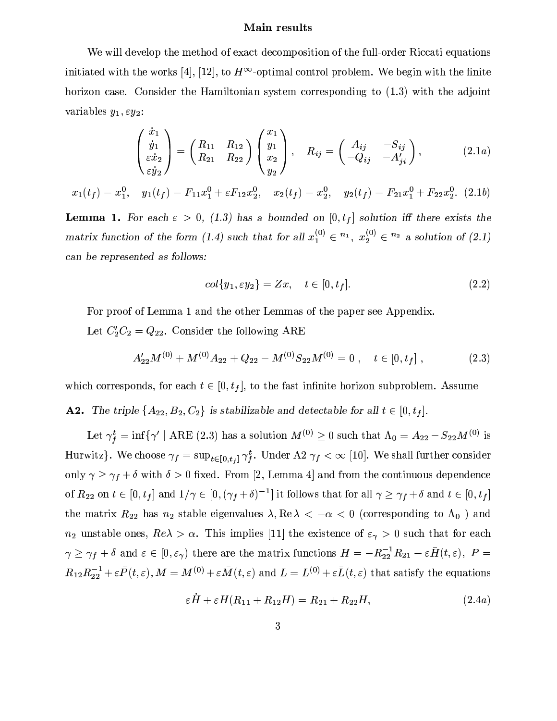## Main results

We will develop the method of exact decomposition of the full-order Riccati equations initiated with the works [4], [12], to  $H^{\infty}$ -optimal control problem. We begin with the finite horizon case. Consider the Hamiltonian system corresponding to  $(1.3)$  with the adjoint variables  $y_1, \varepsilon y_2$ :

$$
\begin{pmatrix}\n\dot{x}_1 \\
\dot{y}_1 \\
\varepsilon \dot{x}_2 \\
\varepsilon \dot{y}_2\n\end{pmatrix} = \begin{pmatrix}\nR_{11} & R_{12} \\
R_{21} & R_{22}\n\end{pmatrix} \begin{pmatrix}\nx_1 \\
y_1 \\
x_2 \\
y_2\n\end{pmatrix}, \quad R_{ij} = \begin{pmatrix}\nA_{ij} & -S_{ij} \\
-Q_{ij} & -A'_{ji}\n\end{pmatrix},
$$
\n(2.1a)

 $x_1(t_f) = x_1^0$ ,  $y_1(t_f) = F_{11}x_1^0 + \varepsilon F_{12}x_2^0$ ,  $x_2(t_f) = x_2^0$ ,  $y_2(t_f) = F_{21}x_1^0 + F_{22}x_2^0$ . (2.1b)

**Lemma 1.** For each  $\varepsilon > 0$ , (1.3) has a bounded on [0,t<sub>f</sub>] solution iff there exists the matrix function of the form (1.4) such that for all  $x_1^{(0)} \in \{n_1, x_2^{(0)} \in n_2 \}$  a solution of (2.1) can be represented as follows:

$$
col\{y_1, \varepsilon y_2\} = Zx, \quad t \in [0, t_f].
$$
\n
$$
(2.2)
$$

For proof of Lemma 1 and the other Lemmas of the paper see Appendix.

Let  $C_2'C_2 = Q_{22}$ . Consider the following ARE

$$
A'_{22}M^{(0)} + M^{(0)}A_{22} + Q_{22} - M^{(0)}S_{22}M^{(0)} = 0 , \quad t \in [0, t_f] ,
$$
 (2.3)

which corresponds, for each  $t \in [0, t_f]$ , to the fast infinite horizon subproblem. Assume

**A2.** The triple  $\{A_{22}, B_2, C_2\}$  is stabilizable and detectable for all  $t \in [0, t_f]$ .

Let  $\gamma_f^t = \inf \{ \gamma' \mid ARE \ (2.3) \text{ has a solution } M^{(0)} \geq 0 \text{ such that } \Lambda_0 = A_{22} - S_{22} M^{(0)} \text{ is }$ Hurwitz}. We choose  $\gamma_f = \sup_{t \in [0,t_f]} \gamma_f^t$ . Under A2  $\gamma_f < \infty$  [10]. We shall further consider only  $\gamma \geq \gamma_f + \delta$  with  $\delta > 0$  fixed. From [2, Lemma 4] and from the continuous dependence of  $R_{22}$  on  $t \in [0, t_f]$  and  $1/\gamma \in [0, (\gamma_f + \delta)^{-1}]$  it follows that for all  $\gamma \ge \gamma_f + \delta$  and  $t \in [0, t_f]$ the matrix  $R_{22}$  has  $n_2$  stable eigenvalues  $\lambda, \text{Re }\lambda < -\alpha < 0$  (corresponding to  $\Lambda_0$ ) and  $n_2$  unstable ones,  $Re\lambda > \alpha$ . This implies [11] the existence of  $\varepsilon_{\gamma} > 0$  such that for each  $\gamma \geq \gamma_f + \delta$  and  $\varepsilon \in [0, \varepsilon_\gamma)$  there are the matrix functions  $H = -R_{22}^{-1}R_{21} + \varepsilon \bar{H}(t, \varepsilon), P =$  $R_{12}R_{22}^{-1} + \varepsilon \bar{P}(t,\varepsilon), M = M^{(0)} + \varepsilon \bar{M}(t,\varepsilon)$  and  $L = L^{(0)} + \varepsilon \bar{L}(t,\varepsilon)$  that satisfy the equations

$$
\varepsilon H + \varepsilon H (R_{11} + R_{12}H) = R_{21} + R_{22}H, \tag{2.4a}
$$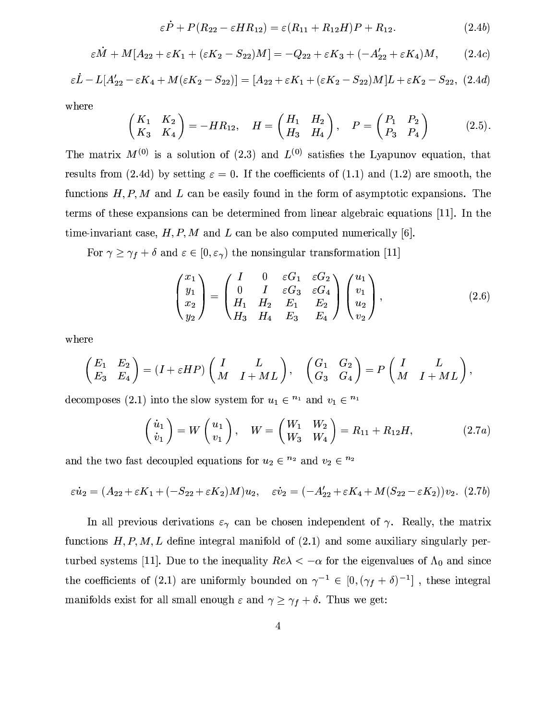$$
\varepsilon P + P(R_{22} - \varepsilon HR_{12}) = \varepsilon (R_{11} + R_{12}H)P + R_{12}.
$$
 (2.4b)

$$
\varepsilon \dot{M} + M[A_{22} + \varepsilon K_1 + (\varepsilon K_2 - S_{22})M] = -Q_{22} + \varepsilon K_3 + (-A'_{22} + \varepsilon K_4)M, \qquad (2.4c)
$$

$$
\varepsilon L - L[A'_{22} - \varepsilon K_4 + M(\varepsilon K_2 - S_{22})] = [A_{22} + \varepsilon K_1 + (\varepsilon K_2 - S_{22})M]L + \varepsilon K_2 - S_{22}, (2.4d)
$$

where

$$
\begin{pmatrix} K_1 & K_2 \ K_3 & K_4 \end{pmatrix} = -HR_{12}, \quad H = \begin{pmatrix} H_1 & H_2 \ H_3 & H_4 \end{pmatrix}, \quad P = \begin{pmatrix} P_1 & P_2 \ P_3 & P_4 \end{pmatrix}
$$
 (2.5).

The matrix  $M^{(0)}$  is a solution of (2.3) and  $L^{(0)}$  satisfies the Lyapunov equation, that results from (2.4d) by setting  $\varepsilon = 0$ . If the coefficients of (1.1) and (1.2) are smooth, the functions  $H, P, M$  and  $L$  can be easily found in the form of asymptotic expansions. The terms of these expansions can be determined from linear algebraic equations [11]. In the time-invariant case,  $H, P, M$  and L can be also computed numerically [6].

For  $\gamma \geq \gamma_f + \delta$  and  $\varepsilon \in [0, \varepsilon_\gamma)$  the nonsingular transformation [11]

$$
\begin{pmatrix} x_1 \\ y_1 \\ x_2 \\ y_2 \end{pmatrix} = \begin{pmatrix} I & 0 & \varepsilon G_1 & \varepsilon G_2 \\ 0 & I & \varepsilon G_3 & \varepsilon G_4 \\ H_1 & H_2 & E_1 & E_2 \\ H_3 & H_4 & E_3 & E_4 \end{pmatrix} \begin{pmatrix} u_1 \\ v_1 \\ u_2 \\ v_2 \end{pmatrix},
$$
(2.6)

where

$$
\begin{pmatrix} E_1 & E_2 \\ E_3 & E_4 \end{pmatrix} = (I + \varepsilon H P) \begin{pmatrix} I & L \\ M & I + ML \end{pmatrix}, \quad \begin{pmatrix} G_1 & G_2 \\ G_3 & G_4 \end{pmatrix} = P \begin{pmatrix} I & L \\ M & I + ML \end{pmatrix},
$$

decomposes (2.1) into the slow system for  $u_1 \in \mathbb{R}^n$  and  $v_1 \in \mathbb{R}^n$ 

$$
\begin{pmatrix} \dot{u}_1 \\ \dot{v}_1 \end{pmatrix} = W \begin{pmatrix} u_1 \\ v_1 \end{pmatrix}, \quad W = \begin{pmatrix} W_1 & W_2 \\ W_3 & W_4 \end{pmatrix} = R_{11} + R_{12}H, \tag{2.7a}
$$

and the two fast decoupled equations for  $u_2 \in \mathbb{R}^n$  and  $v_2 \in \mathbb{R}^n$ 

$$
\varepsilon \dot{u}_2 = (A_{22} + \varepsilon K_1 + (-S_{22} + \varepsilon K_2)M)u_2, \quad \varepsilon \dot{v}_2 = (-A'_{22} + \varepsilon K_4 + M(S_{22} - \varepsilon K_2))v_2. \tag{2.7b}
$$

In all previous derivations  $\varepsilon_{\gamma}$  can be chosen independent of  $\gamma$ . Really, the matrix functions  $H, P, M, L$  define integral manifold of  $(2.1)$  and some auxiliary singularly perturbed systems [11]. Due to the inequality  $Re\lambda < -\alpha$  for the eigenvalues of  $\Lambda_0$  and since the coefficients of (2.1) are uniformly bounded on  $\gamma^{-1} \in [0, (\gamma_f + \delta)^{-1}]$ , these integral manifolds exist for all small enough  $\varepsilon$  and  $\gamma \geq \gamma_f + \delta$ . Thus we get: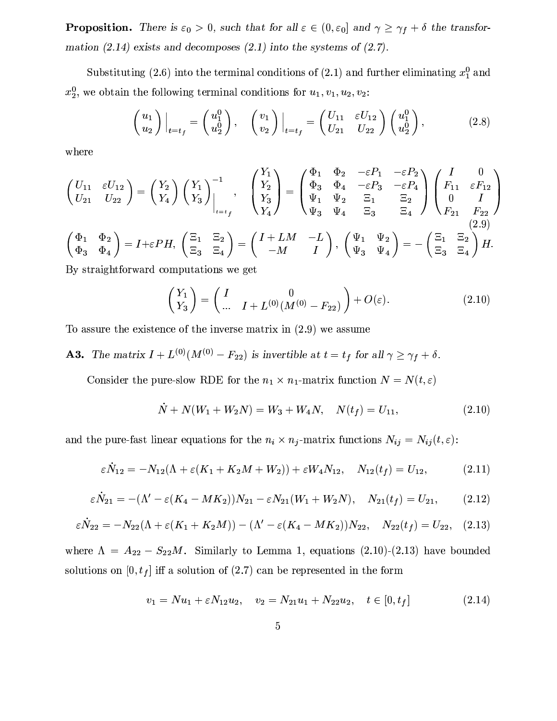**Proposition.** There is  $\varepsilon_0 > 0$ , such that for all  $\varepsilon \in (0, \varepsilon_0]$  and  $\gamma \geq \gamma_f + \delta$  the transformation (2.14) exists and decomposes (2.1) into the systems of (2.7).

Substituting (2.6) into the terminal conditions of (2.1) and further eliminating  $x_1^0$  and  $x_2^0$ , we obtain the following terminal conditions for  $u_1, v_1, u_2, v_2$ :

$$
\begin{pmatrix} u_1 \\ u_2 \end{pmatrix}\Big|_{t=t_f} = \begin{pmatrix} u_1^0 \\ u_2^0 \end{pmatrix}, \quad \begin{pmatrix} v_1 \\ v_2 \end{pmatrix}\Big|_{t=t_f} = \begin{pmatrix} U_{11} & \varepsilon U_{12} \\ U_{21} & U_{22} \end{pmatrix} \begin{pmatrix} u_1^0 \\ u_2^0 \end{pmatrix}, \tag{2.8}
$$

where

$$
\begin{pmatrix}\nU_{11} & \varepsilon U_{12} \\
U_{21} & U_{22}\n\end{pmatrix} = \begin{pmatrix}\nY_2 \\
Y_4\n\end{pmatrix} \begin{pmatrix}\nY_1 \\
Y_3\n\end{pmatrix}^{-1}, \quad\n\begin{pmatrix}\nY_1 \\
Y_2 \\
Y_3 \\
Y_4\n\end{pmatrix} = \begin{pmatrix}\n\Phi_1 & \Phi_2 & -\varepsilon P_1 & -\varepsilon P_2 \\
\Phi_3 & \Phi_4 & -\varepsilon P_3 & -\varepsilon P_4 \\
\Psi_1 & \Psi_2 & \Xi_1 & \Xi_2 \\
\Psi_3 & \Psi_4 & \Xi_3 & \Xi_4\n\end{pmatrix} \begin{pmatrix}\nI & 0 \\
F_{11} & \varepsilon F_{12} \\
0 & I \\
F_{21} & F_{22}\n\end{pmatrix}
$$
\n
$$
\begin{pmatrix}\n\Phi_1 & \Phi_2 \\
\Phi_3 & \Phi_4\n\end{pmatrix} = I + \varepsilon P H, \quad\n\begin{pmatrix}\n\Xi_1 & \Xi_2 \\
\Xi_3 & \Xi_4\n\end{pmatrix} = \begin{pmatrix}\nI + LM & -L \\
-M & I\n\end{pmatrix}, \quad\n\begin{pmatrix}\n\Psi_1 & \Psi_2 \\
\Psi_3 & \Psi_4\n\end{pmatrix} = - \begin{pmatrix}\n\Xi_1 & \Xi_2 \\
\Xi_3 & \Xi_4\n\end{pmatrix} H.
$$
\nBy straightforward computations we get

By straightforward computations we get

$$
\begin{pmatrix} Y_1 \\ Y_3 \end{pmatrix} = \begin{pmatrix} I & 0 \\ \dots & I + L^{(0)}(M^{(0)} - F_{22}) \end{pmatrix} + O(\varepsilon). \tag{2.10}
$$

To assure the existence of the inverse matrix in  $(2.9)$  we assume

**A3.** The matrix 
$$
I + L^{(0)}(M^{(0)} - F_{22})
$$
 is invertible at  $t = t_f$  for all  $\gamma \ge \gamma_f + \delta$ .

Consider the pure-slow RDE for the  $n_1 \times n_1$ -matrix function  $N = N(t, \varepsilon)$ 

$$
\dot{N} + N(W_1 + W_2N) = W_3 + W_4N, \quad N(t_f) = U_{11}, \tag{2.10}
$$

and the pure-fast linear equations for the  $n_i \times n_j$ -matrix functions  $N_{ij} = N_{ij}(t, \varepsilon)$ :

$$
\varepsilon \dot{N}_{12} = -N_{12}(\Lambda + \varepsilon (K_1 + K_2 M + W_2)) + \varepsilon W_4 N_{12}, \quad N_{12}(t_f) = U_{12}, \tag{2.11}
$$

$$
\varepsilon \dot{N}_{21} = -(\Lambda' - \varepsilon (K_4 - MK_2))N_{21} - \varepsilon N_{21}(W_1 + W_2N), \quad N_{21}(t_f) = U_{21}, \tag{2.12}
$$

$$
\varepsilon \dot{N}_{22} = -N_{22}(\Lambda + \varepsilon (K_1 + K_2 M)) - (\Lambda' - \varepsilon (K_4 - MK_2))N_{22}, \quad N_{22}(t_f) = U_{22}, \quad (2.13)
$$

where  $\Lambda = A_{22} - S_{22}M$ . Similarly to Lemma 1, equations (2.10)-(2.13) have bounded solutions on  $[0, t_f]$  iff a solution of (2.7) can be represented in the form

$$
v_1 = Nu_1 + \varepsilon N_{12} u_2, \quad v_2 = N_{21} u_1 + N_{22} u_2, \quad t \in [0, t_f]
$$
\n
$$
(2.14)
$$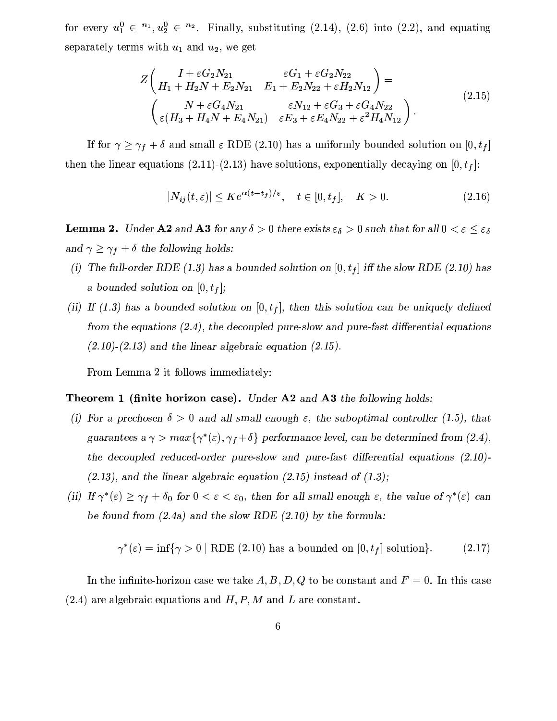for every  $u_1^0 \n\t\in \{n_1, u_2^0 \in \{n_2, \ldots, n_2\}$ . Finally, substituting (2.14), (2.6) into (2.2), and equating separately terms with  $u_1$  and  $u_2$ , we get

$$
Z\left(\begin{array}{cc}I + \varepsilon G_2 N_{21} & \varepsilon G_1 + \varepsilon G_2 N_{22} \\ H_1 + H_2 N + E_2 N_{21} & E_1 + E_2 N_{22} + \varepsilon H_2 N_{12}\end{array}\right) =
$$
\n
$$
\begin{pmatrix}N + \varepsilon G_4 N_{21} & \varepsilon N_{12} + \varepsilon G_3 + \varepsilon G_4 N_{22} \\ \varepsilon (H_3 + H_4 N + E_4 N_{21}) & \varepsilon E_3 + \varepsilon E_4 N_{22} + \varepsilon^2 H_4 N_{12}\end{pmatrix}.
$$
\n(2.15)

If for  $\gamma \geq \gamma_f + \delta$  and small  $\varepsilon$  RDE (2.10) has a uniformly bounded solution on [0, t<sub>f</sub>] then the linear equations (2.11)-(2.13) have solutions, exponentially decaying on  $[0, t<sub>f</sub>]$ :

$$
|N_{ij}(t,\varepsilon)| \le Ke^{\alpha(t-t_f)/\varepsilon}, \quad t \in [0,t_f], \quad K > 0.
$$
 (2.16)

**Lemma 2.** Under A2 and A3 for any  $\delta > 0$  there exists  $\varepsilon_{\delta} > 0$  such that for all  $0 < \varepsilon \leq \varepsilon_{\delta}$ and  $\gamma \geq \gamma_f + \delta$  the following holds:

- (i) The full-order RDE (1.3) has a bounded solution on  $[0, t_f]$  iff the slow RDE (2.10) has a bounded solution on  $[0, t_f]$ ;
- (ii) If (1.3) has a bounded solution on  $[0, t_f]$ , then this solution can be uniquely defined from the equations  $(2.4)$ , the decoupled pure-slow and pure-fast differential equations  $(2.10)$ - $(2.13)$  and the linear algebraic equation  $(2.15)$ .

From Lemma 2 it follows immediately:

#### **Theorem 1 (finite horizon case).** Under  $A2$  and  $A3$  the following holds:

- (i) For a prechosen  $\delta > 0$  and all small enough  $\varepsilon$ , the suboptimal controller (1.5), that guarantees a  $\gamma > max\{\gamma^*(\varepsilon), \gamma_f + \delta\}$  performance level, can be determined from (2.4), the decoupled reduced-order pure-slow and pure-fast differential equations  $(2.10)$ - $(2.13)$ , and the linear algebraic equation  $(2.15)$  instead of  $(1.3)$ ;
- (ii) If  $\gamma^*(\varepsilon) \ge \gamma_f + \delta_0$  for  $0 < \varepsilon < \varepsilon_0$ , then for all small enough  $\varepsilon$ , the value of  $\gamma^*(\varepsilon)$  can be found from  $(2.4a)$  and the slow RDE  $(2.10)$  by the formula:

$$
\gamma^*(\varepsilon) = \inf \{ \gamma > 0 \mid \text{RDE} \ (2.10) \text{ has a bounded on } [0, t_f] \text{ solution} \}. \tag{2.17}
$$

In the infinite-horizon case we take A, B, D, Q to be constant and  $F = 0$ . In this case  $(2.4)$  are algebraic equations and  $H, P, M$  and L are constant.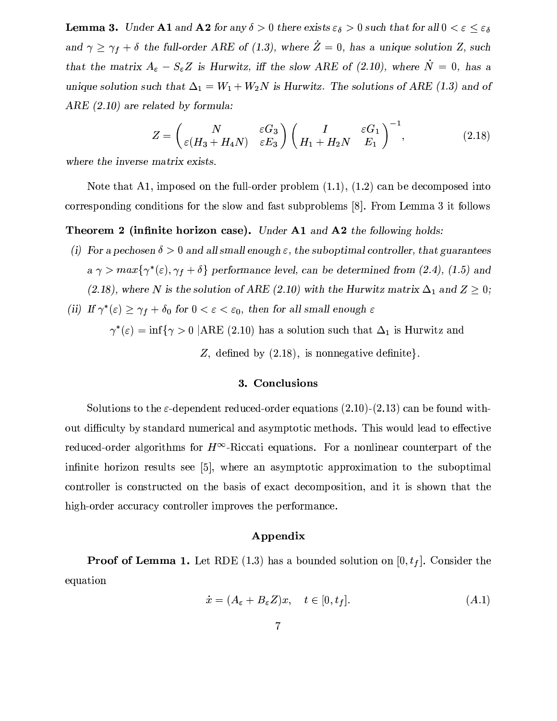**Lemma 3.** Under A1 and A2 for any  $\delta > 0$  there exists  $\varepsilon_{\delta} > 0$  such that for all  $0 < \varepsilon \leq \varepsilon_{\delta}$ and  $\gamma \geq \gamma_f + \delta$  the full-order ARE of (1.3), where  $\dot{Z} = 0$ , has a unique solution Z, such that the matrix  $A_{\varepsilon} - S_{\varepsilon}Z$  is Hurwitz, iff the slow ARE of (2.10), where  $N = 0$ , has a unique solution such that  $\Delta_1 = W_1 + W_2N$  is Hurwitz. The solutions of ARE (1.3) and of  $ARE(2.10)$  are related by formula:

$$
Z = \begin{pmatrix} N & \varepsilon G_3 \\ \varepsilon (H_3 + H_4 N) & \varepsilon E_3 \end{pmatrix} \begin{pmatrix} I & \varepsilon G_1 \\ H_1 + H_2 N & E_1 \end{pmatrix}^{-1}, \tag{2.18}
$$

where the inverse matrix exists.

Note that A1, imposed on the full-order problem  $(1.1)$ ,  $(1.2)$  can be decomposed into corresponding conditions for the slow and fast subproblems [8]. From Lemma 3 it follows

#### **Theorem 2 (infinite horizon case).** Under **A1** and **A2** the following holds:

- (i) For a pechosen  $\delta > 0$  and all small enough  $\varepsilon$ , the suboptimal controller, that guarantees  $a \gamma > max\{\gamma^*(\varepsilon), \gamma_f + \delta\}$  performance level, can be determined from (2.4), (1.5) and (2.18), where N is the solution of ARE (2.10) with the Hurwitz matrix  $\Delta_1$  and  $Z \geq 0$ ;
- (ii) If  $\gamma^*(\varepsilon) \geq \gamma_f + \delta_0$  for  $0 < \varepsilon < \varepsilon_0$ , then for all small enough  $\varepsilon$

 $\gamma^*(\varepsilon) = \inf \{ \gamma > 0 \mid ARE \ (2.10) \text{ has a solution such that } \Delta_1 \text{ is Hurwitz and } \Delta_2 \text{ is the limit that } \Delta_1 \text{ is the limit that } \Delta_2 \text{ is the limit that } \Delta_1 \text{ is the limit that } \Delta_2 \text{ is the limit that } \Delta_1 \text{ is the limit that } \Delta_2 \text{ is the limit that } \Delta_1 \text{ is the limit that } \Delta_2 \text{ is the limit that } \Delta_1 \text{ is the limit that } \Delta_2 \text{ is the limit that } \Delta_1 \text{ is the limit that } \Delta_2 \text{ is the limit that } \Delta_1 \text{ is the limit that }$ 

Z, defined by  $(2.18)$ , is nonnegative definite.

#### 3. Conclusions

Solutions to the  $\varepsilon$ -dependent reduced-order equations (2.10)-(2.13) can be found without difficulty by standard numerical and asymptotic methods. This would lead to effective reduced-order algorithms for  $H^{\infty}$ -Riccati equations. For a nonlinear counterpart of the infinite horizon results see [5], where an asymptotic approximation to the suboptimal controller is constructed on the basis of exact decomposition, and it is shown that the high-order accuracy controller improves the performance.

## Appendix

**Proof of Lemma 1.** Let RDE (1.3) has a bounded solution on  $[0, t_f]$ . Consider the equation

$$
\dot{x} = (A_{\varepsilon} + B_{\varepsilon} Z)x, \quad t \in [0, t_f]. \tag{A.1}
$$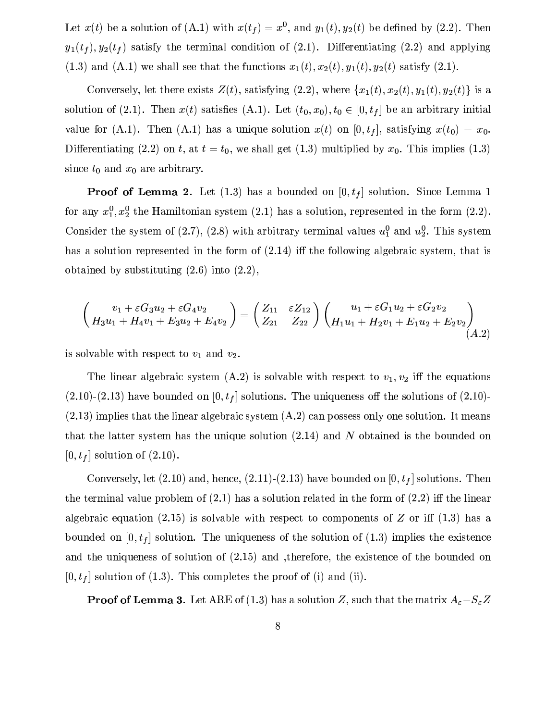Let  $x(t)$  be a solution of (A.1) with  $x(t_f) = x^0$ , and  $y_1(t), y_2(t)$  be defined by (2.2). Then  $y_1(t_f), y_2(t_f)$  satisfy the terminal condition of (2.1). Differentiating (2.2) and applying  $(1.3)$  and  $(A.1)$  we shall see that the functions  $x_1(t), x_2(t), y_1(t), y_2(t)$  satisfy  $(2.1)$ .

Conversely, let there exists  $Z(t)$ , satisfying (2.2), where  $\{x_1(t), x_2(t), y_1(t), y_2(t)\}\$ is a solution of (2.1). Then  $x(t)$  satisfies (A.1). Let  $(t_0, x_0), t_0 \in [0, t_f]$  be an arbitrary initial value for (A.1). Then (A.1) has a unique solution  $x(t)$  on [0,  $t_f$ ], satisfying  $x(t_0) = x_0$ . Differentiating (2.2) on t, at  $t = t_0$ , we shall get (1.3) multiplied by  $x_0$ . This implies (1.3) since  $t_0$  and  $x_0$  are arbitrary.

**Proof of Lemma 2.** Let  $(1.3)$  has a bounded on  $[0, t_f]$  solution. Since Lemma 1 for any  $x_1^0, x_2^0$  the Hamiltonian system (2.1) has a solution, represented in the form (2.2). Consider the system of (2.7), (2.8) with arbitrary terminal values  $u_1^0$  and  $u_2^0$ . This system has a solution represented in the form of  $(2.14)$  iff the following algebraic system, that is obtained by substituting  $(2.6)$  into  $(2.2)$ ,

$$
\begin{pmatrix} v_1 + \varepsilon G_3 u_2 + \varepsilon G_4 v_2 \\ H_3 u_1 + H_4 v_1 + E_3 u_2 + E_4 v_2 \end{pmatrix} = \begin{pmatrix} Z_{11} & \varepsilon Z_{12} \\ Z_{21} & Z_{22} \end{pmatrix} \begin{pmatrix} u_1 + \varepsilon G_1 u_2 + \varepsilon G_2 v_2 \\ H_1 u_1 + H_2 v_1 + E_1 u_2 + E_2 v_2 \end{pmatrix} (A.2)
$$

is solvable with respect to  $v_1$  and  $v_2$ .

The linear algebraic system  $(A.2)$  is solvable with respect to  $v_1, v_2$  iff the equations  $(2.10)-(2.13)$  have bounded on  $[0, t_f]$  solutions. The uniqueness off the solutions of  $(2.10)$ - $(2.13)$  implies that the linear algebraic system  $(A.2)$  can possess only one solution. It means that the latter system has the unique solution  $(2.14)$  and N obtained is the bounded on  $[0, t_f]$  solution of  $(2.10)$ .

Conversely, let  $(2.10)$  and, hence,  $(2.11)$ - $(2.13)$  have bounded on  $[0, t<sub>f</sub>]$  solutions. Then the terminal value problem of  $(2.1)$  has a solution related in the form of  $(2.2)$  iff the linear algebraic equation (2.15) is solvable with respect to components of Z or iff (1.3) has a bounded on  $[0, t_f]$  solution. The uniqueness of the solution of (1.3) implies the existence and the uniqueness of solution of  $(2.15)$  and therefore, the existence of the bounded on  $[0, t_f]$  solution of (1.3). This completes the proof of (i) and (ii).

**Proof of Lemma 3**. Let ARE of (1.3) has a solution Z, such that the matrix  $A_{\varepsilon}-S_{\varepsilon}Z$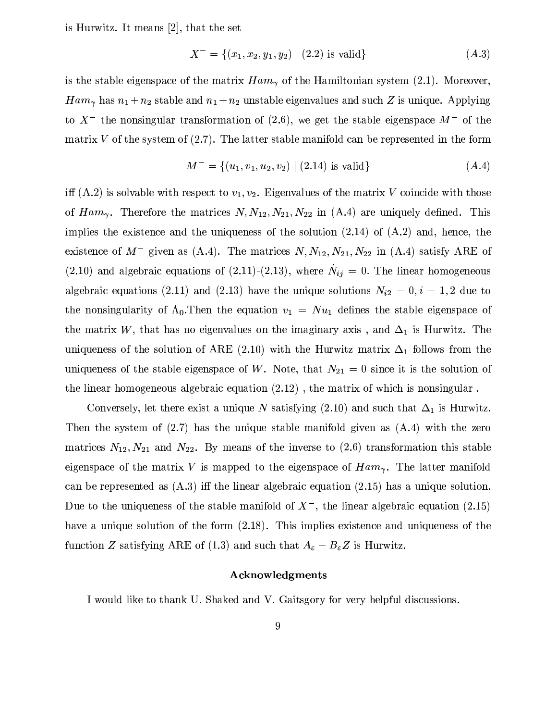is Hurwitz. It means  $[2]$ , that the set

$$
X^{-} = \{(x_1, x_2, y_1, y_2) \mid (2.2) \text{ is valid}\}\tag{A.3}
$$

is the stable eigenspace of the matrix  $Ham_{\gamma}$  of the Hamiltonian system (2.1). Moreover,  $Ham_{\gamma}$  has  $n_1 + n_2$  stable and  $n_1 + n_2$  unstable eigenvalues and such Z is unique. Applying to  $X^-$  the nonsingular transformation of (2.6), we get the stable eigenspace  $M^-$  of the matrix V of the system of  $(2.7)$ . The latter stable manifold can be represented in the form

$$
M^{-} = \{(u_1, v_1, u_2, v_2) \mid (2.14) \text{ is valid}\}\tag{A.4}
$$

iff (A.2) is solvable with respect to  $v_1, v_2$ . Eigenvalues of the matrix V coincide with those of  $Ham_{\gamma}$ . Therefore the matrices  $N, N_{12}, N_{21}, N_{22}$  in (A.4) are uniquely defined. This implies the existence and the uniqueness of the solution  $(2.14)$  of  $(A.2)$  and, hence, the existence of  $M^-$  given as (A.4). The matrices  $N, N_{12}, N_{21}, N_{22}$  in (A.4) satisfy ARE of (2.10) and algebraic equations of (2.11)-(2.13), where  $N_{ij} = 0$ . The linear homogeneous algebraic equations (2.11) and (2.13) have the unique solutions  $N_{i2} = 0, i = 1, 2$  due to the nonsingularity of  $\Lambda_0$ . Then the equation  $v_1 = Nu_1$  defines the stable eigenspace of the matrix W, that has no eigenvalues on the imaginary axis, and  $\Delta_1$  is Hurwitz. The uniqueness of the solution of ARE (2.10) with the Hurwitz matrix  $\Delta_1$  follows from the uniqueness of the stable eigenspace of W. Note, that  $N_{21} = 0$  since it is the solution of the linear homogeneous algebraic equation  $(2.12)$ , the matrix of which is nonsingular.

Conversely, let there exist a unique N satisfying (2.10) and such that  $\Delta_1$  is Hurwitz. Then the system of  $(2.7)$  has the unique stable manifold given as  $(A.4)$  with the zero matrices  $N_{12}, N_{21}$  and  $N_{22}$ . By means of the inverse to (2.6) transformation this stable eigenspace of the matrix V is mapped to the eigenspace of  $Ham_{\gamma}$ . The latter manifold can be represented as  $(A.3)$  iff the linear algebraic equation  $(2.15)$  has a unique solution. Due to the uniqueness of the stable manifold of  $X^-$ , the linear algebraic equation (2.15) have a unique solution of the form  $(2.18)$ . This implies existence and uniqueness of the function Z satisfying ARE of (1.3) and such that  $A_{\varepsilon} - B_{\varepsilon}Z$  is Hurwitz.

## Acknowledgments

I would like to thank U. Shaked and V. Gaitsgory for very helpful discussions.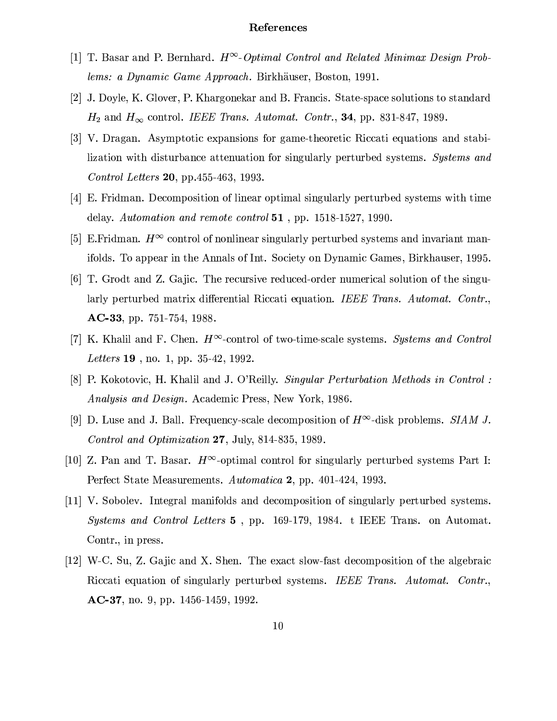#### References

- [1] T. Basar and P. Bernhard.  $H^{\infty}$ -Optimal Control and Related Minimax Design Problems: a Dynamic Game Approach. Birkhäuser, Boston, 1991.
- [2] J. Doyle, K. Glover, P. Khargonekar and B. Francis. State-space solutions to standard  $H_2$  and  $H_{\infty}$  control. IEEE Trans. Automat. Contr., 34, pp. 831-847, 1989.
- [3] V. Dragan. Asymptotic expansions for game-theoretic Riccati equations and stabilization with disturbance attenuation for singularly perturbed systems. Systems and *Control Letters* 20, pp. 455-463, 1993.
- [4] E. Fridman. Decomposition of linear optimal singularly perturbed systems with time delay. Automation and remote control  $51$ , pp. 1518-1527, 1990.
- [5] E. Fridman.  $H^{\infty}$  control of nonlinear singularly perturbed systems and invariant manifolds. To appear in the Annals of Int. Society on Dynamic Games, Birkhauser, 1995.
- [6] T. Grodt and Z. Gajic. The recursive reduced-order numerical solution of the singularly perturbed matrix differential Riccati equation. IEEE Trans. Automat. Contr.,  $AC-33$ , pp. 751-754, 1988.
- [7] K. Khalil and F. Chen.  $H^{\infty}$ -control of two-time-scale systems. Systems and Control Letters 19, no. 1, pp. 35-42, 1992.
- [8] P. Kokotovic, H. Khalil and J. O'Reilly. Singular Perturbation Methods in Control: *Analysis and Design.* Academic Press, New York, 1986.
- [9] D. Luse and J. Ball. Frequency-scale decomposition of  $H^{\infty}$ -disk problems. SIAM J. Control and Optimization 27, July, 814-835, 1989.
- [10] Z. Pan and T. Basar.  $H^{\infty}$ -optimal control for singularly perturbed systems Part I: Perfect State Measurements. Automatica 2, pp. 401-424, 1993.
- [11] V. Sobolev. Integral manifolds and decomposition of singularly perturbed systems. Systems and Control Letters 5, pp. 169-179, 1984. t IEEE Trans. on Automat. Contr., in press.
- [12] W-C. Su, Z. Gajic and X. Shen. The exact slow-fast decomposition of the algebraic Riccati equation of singularly perturbed systems. IEEE Trans. Automat. Contr.,  $AC-37$ , no. 9, pp. 1456-1459, 1992.